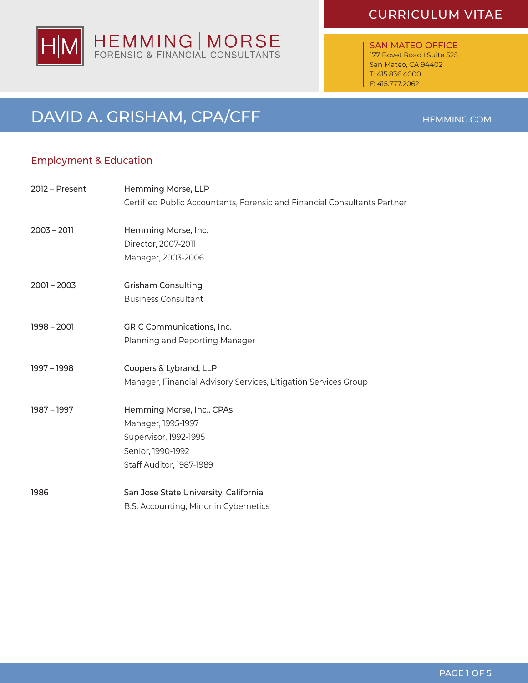# CURRICULUM VITAE

SAN MATEO OFFICE 177 Bovet Road I Suite 525 San Mateo, CA 94402 T: 415.836.4000 F: 415.777.2062

# DAVID A. GRISHAM, CPA/CFF

# Employment & Education

| 2012 – Present | Hemming Morse, LLP                                                       |
|----------------|--------------------------------------------------------------------------|
|                | Certified Public Accountants, Forensic and Financial Consultants Partner |
| $2003 - 2011$  | Hemming Morse, Inc.                                                      |
|                | Director, 2007-2011                                                      |
|                | Manager, 2003-2006                                                       |
| $2001 - 2003$  | <b>Grisham Consulting</b>                                                |
|                | <b>Business Consultant</b>                                               |
| $1998 - 2001$  | GRIC Communications, Inc.                                                |
|                | Planning and Reporting Manager                                           |
| 1997 - 1998    | Coopers & Lybrand, LLP                                                   |
|                | Manager, Financial Advisory Services, Litigation Services Group          |
| 1987 - 1997    | Hemming Morse, Inc., CPAs                                                |
|                | Manager, 1995-1997                                                       |
|                | Supervisor, 1992-1995                                                    |
|                | Senior, 1990-1992                                                        |
|                | Staff Auditor, 1987-1989                                                 |
| 1986           | San Jose State University, California                                    |
|                | B.S. Accounting; Minor in Cybernetics                                    |



### HEMMING.COM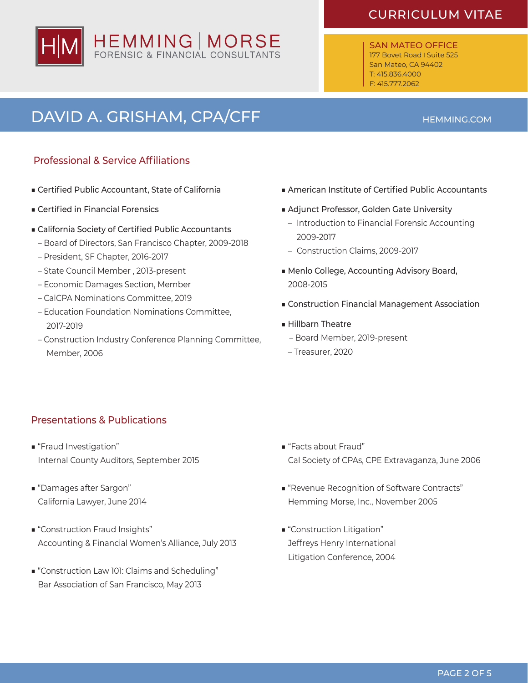# HEMMING | MORSE

# CURRICULUM VITAE

SAN MATEO OFFICE 177 Bovet Road I Suite 525 San Mateo, CA 94402 T: 415.836.4000 F: 415.777.2062

# DAVID A. GRISHAM, CPA/CFF **Annung** CONTENTS AND MEMMING.COM

## Professional & Service Affiliations

- Certified Public Accountant, State of California
- Certified in Financial Forensics
- California Society of Certified Public Accountants
	- Board of Directors, San Francisco Chapter, 2009-2018
	- President, SF Chapter, 2016-2017
	- State Council Member , 2013-present
	- Economic Damages Section, Member
	- CalCPA Nominations Committee, 2019
	- Education Foundation Nominations Committee, 2017-2019
	- Construction Industry Conference Planning Committee, Member, 2006
- American Institute of Certified Public Accountants
- Adjunct Professor, Golden Gate University
	- Introduction to Financial Forensic Accounting 2009-2017
	- Construction Claims, 2009-2017
- Menlo College, Accounting Advisory Board, 2008-2015
- Construction Financial Management Association
- Hillbarn Theatre
	- Board Member, 2019-present
	- Treasurer, 2020

## Presentations & Publications

- "Fraud Investigation" Internal County Auditors, September 2015
- "Damages after Sargon" California Lawyer, June 2014
- "Construction Fraud Insights" Accounting & Financial Women's Alliance, July 2013
- "Construction Law 101: Claims and Scheduling" Bar Association of San Francisco, May 2013
- "Facts about Fraud" Cal Society of CPAs, CPE Extravaganza, June 2006
- "Revenue Recognition of Software Contracts" Hemming Morse, Inc., November 2005
- "Construction Litigation" Jeffreys Henry International Litigation Conference, 2004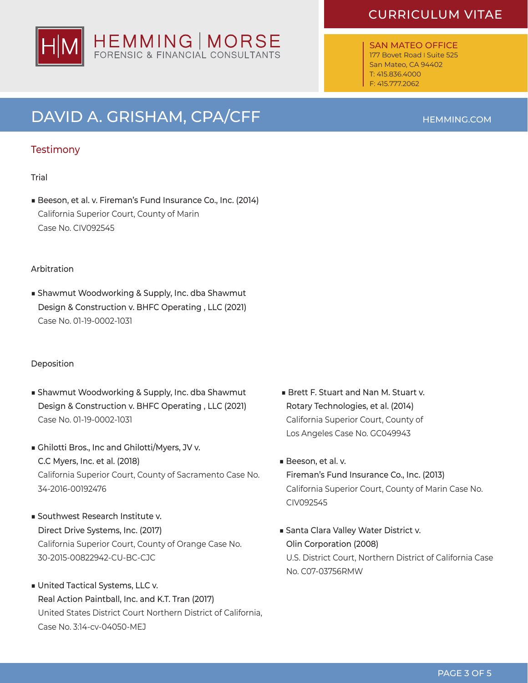# HEMMING | MORSE<br>FORENSIC & FINANCIAL CONSULTANTS

# DAVID A. GRISHAM, CPA/CFF **Annung** CONTENTS AND MEMMING.COM

## **Testimony**

#### Trial

■ Beeson, et al. v. Fireman's Fund Insurance Co., Inc. (2014) California Superior Court, County of Marin Case No. CIV092545

#### Arbitration

■ Shawmut Woodworking & Supply, Inc. dba Shawmut Design & Construction v. BHFC Operating , LLC (2021) Case No. 01-19-0002-1031

#### Deposition

- Shawmut Woodworking & Supply, Inc. dba Shawmut Design & Construction v. BHFC Operating , LLC (2021) Case No. 01-19-0002-1031
- Ghilotti Bros., Inc and Ghilotti/Myers, JV v. C.C Myers, Inc. et al. (2018) California Superior Court, County of Sacramento Case No. 34-2016-00192476
- Southwest Research Institute v. Direct Drive Systems, Inc. (2017) California Superior Court, County of Orange Case No. 30-2015-00822942-CU-BC-CJC
- United Tactical Systems, LLC v. Real Action Paintball, Inc. and K.T. Tran (2017) United States District Court Northern District of California, Case No. 3:14-cv-04050-MEJ
- Brett F. Stuart and Nan M. Stuart v. Rotary Technologies, et al. (2014) California Superior Court, County of Los Angeles Case No. GC049943
- Beeson, et al. v. Fireman's Fund Insurance Co., Inc. (2013) California Superior Court, County of Marin Case No. CIV092545
- Santa Clara Valley Water District v. Olin Corporation (2008) U.S. District Court, Northern District of California Case No. C07-03756RMW

# CURRICULUM VITAE

SAN MATEO OFFICE 177 Bovet Road I Suite 525 San Mateo, CA 94402 T: 415.836.4000 F: 415.777.2062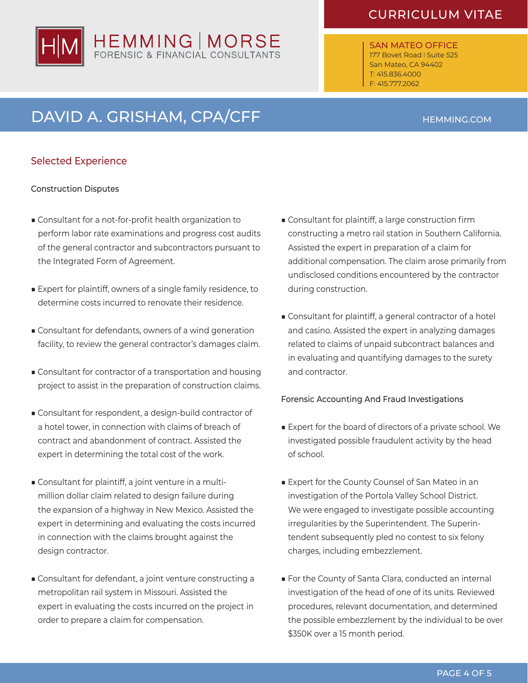# HEMMING | MORSE

# CURRICULUM VITAE

SAN MATEO OFFICE 177 Bovet Road I Suite 525 San Mateo, CA 94402 T: 415.836.4000 F: 415.777.2062

# DAVID A. GRISHAM, CPA/CFF HEMMING.COM

## Selected Experience

#### Construction Disputes

- Consultant for a not-for-profit health organization to perform labor rate examinations and progress cost audits of the general contractor and subcontractors pursuant to the Integrated Form of Agreement.
- Expert for plaintiff, owners of a single family residence, to determine costs incurred to renovate their residence.
- Consultant for defendants, owners of a wind generation facility, to review the general contractor's damages claim.
- Consultant for contractor of a transportation and housing project to assist in the preparation of construction claims.
- Consultant for respondent, a design-build contractor of a hotel tower, in connection with claims of breach of contract and abandonment of contract. Assisted the expert in determining the total cost of the work.
- Consultant for plaintiff, a joint venture in a multi- million dollar claim related to design failure during the expansion of a highway in New Mexico. Assisted the expert in determining and evaluating the costs incurred in connection with the claims brought against the design contractor.
- Consultant for defendant, a joint venture constructing a metropolitan rail system in Missouri. Assisted the expert in evaluating the costs incurred on the project in order to prepare a claim for compensation.
- Consultant for plaintiff, a large construction firm constructing a metro rail station in Southern California. Assisted the expert in preparation of a claim for additional compensation. The claim arose primarily from undisclosed conditions encountered by the contractor during construction.
- Consultant for plaintiff, a general contractor of a hotel and casino. Assisted the expert in analyzing damages related to claims of unpaid subcontract balances and in evaluating and quantifying damages to the surety and contractor.

### Forensic Accounting And Fraud Investigations

- Expert for the board of directors of a private school. We investigated possible fraudulent activity by the head of school.
- Expert for the County Counsel of San Mateo in an investigation of the Portola Valley School District. We were engaged to investigate possible accounting irregularities by the Superintendent. The Superin- tendent subsequently pled no contest to six felony charges, including embezzlement.
- For the County of Santa Clara, conducted an internal investigation of the head of one of its units. Reviewed procedures, relevant documentation, and determined the possible embezzlement by the individual to be over \$350K over a 15 month period.